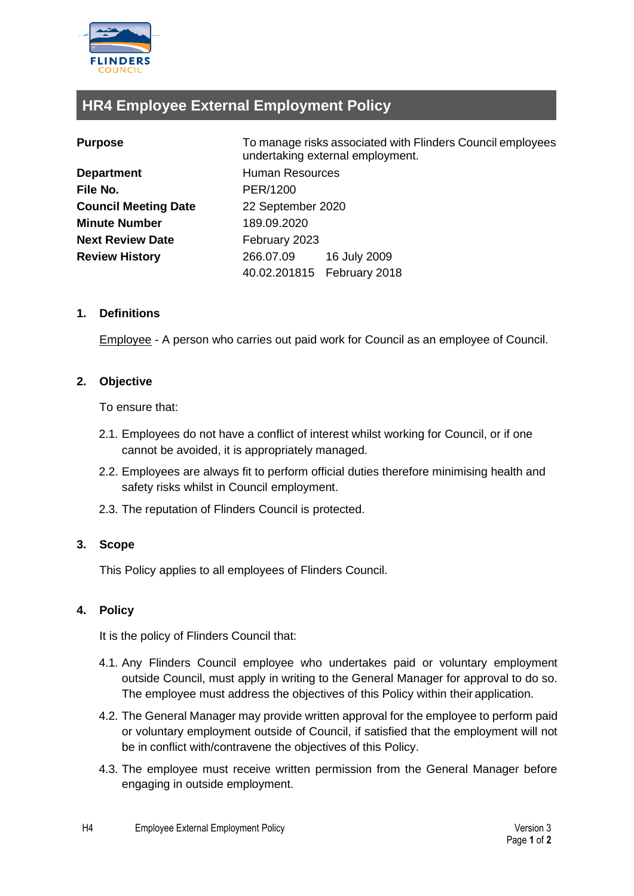

# **HR4 Employee External Employment Policy**

| <b>Department</b>           |
|-----------------------------|
| File No.                    |
| <b>Council Meeting Date</b> |
| <b>Minute Number</b>        |
| <b>Next Review Date</b>     |
| <b>Review History</b>       |
|                             |

**Purpose** To manage risks associated with Flinders Council employees undertaking external employment. **Human Resources File No.** PER/1200 **Council Meeting Date** 22 September 2020 **Minute Number** 189.09.2020 **February 2023 Review History** 266.07.09 16 July 2009 40.02.201815 February 2018

# **1. Definitions**

Employee - A person who carries out paid work for Council as an employee of Council.

# **2. Objective**

To ensure that:

- 2.1. Employees do not have a conflict of interest whilst working for Council, or if one cannot be avoided, it is appropriately managed.
- 2.2. Employees are always fit to perform official duties therefore minimising health and safety risks whilst in Council employment.
- 2.3. The reputation of Flinders Council is protected.

### **3. Scope**

This Policy applies to all employees of Flinders Council.

# **4. Policy**

It is the policy of Flinders Council that:

- 4.1. Any Flinders Council employee who undertakes paid or voluntary employment outside Council, must apply in writing to the General Manager for approval to do so. The employee must address the objectives of this Policy within their application.
- 4.2. The General Manager may provide written approval for the employee to perform paid or voluntary employment outside of Council, if satisfied that the employment will not be in conflict with/contravene the objectives of this Policy.
- 4.3. The employee must receive written permission from the General Manager before engaging in outside employment.